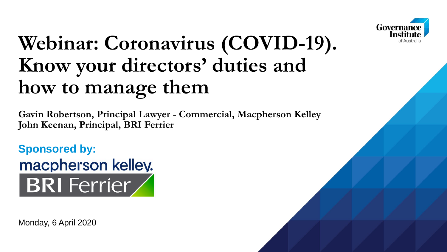

## **Webinar: Coronavirus (COVID-19). Know your directors' duties and how to manage them**

**Gavin Robertson, Principal Lawyer - Commercial, Macpherson Kelley John Keenan, Principal, BRI Ferrier**

**Sponsored by:** macpherson kelley. **BRI** Ferrier

Monday, 6 April 2020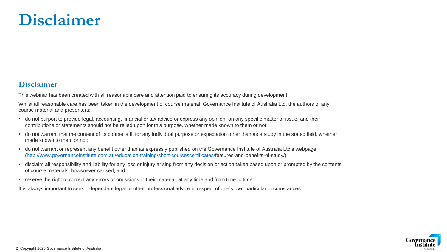### **Disclaimer**

#### **Disclaimer**

This webinar has been created with all reasonable care and attention paid to ensuring its accuracy during development.

Whilst all reasonable care has been taken in the development of course material, Governance Institute of Australia Ltd, the authors of any course material and presenters:

- do not purport to provide legal, accounting, financial or tax advice or express any opinion, on any specific matter or issue, and their contributions or statements should not be relied upon for this purpose, whether made known to them or not;
- do not warrant that the content of its course is fit for any individual purpose or expectation other than as a study in the stated field, whether made known to them or not;
- do not warrant or represent any benefit other than as expressly published on the Governance Institute of Australia Ltd's webpage [\(http://www.governanceinstitute.com.au/education-training/short-coursescertificates/](http://www.governanceinstitute.com.au/education-training/short-coursescertificates/)features-and-benefits-of-study/)
- disclaim all responsibility and liability for any loss or injury arising from any decision or action taken based upon or prompted by the contents of course materials, howsoever caused; and
- reserve the right to correct any errors or omissions in their material, at any time and from time to time.

It is always important to seek independent legal or other professional advice in respect of one's own particular circumstances.

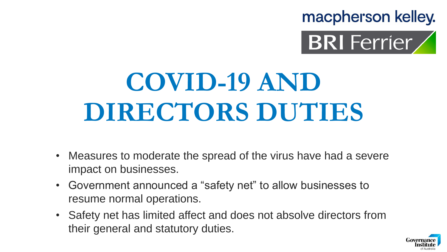macpherson kelley.



# **COVID-19 AND DIRECTORS DUTIES**

- Measures to moderate the spread of the virus have had a severe impact on businesses.
- Government announced a "safety net" to allow businesses to resume normal operations.
- Safety net has limited affect and does not absolve directors from their general and statutory duties.

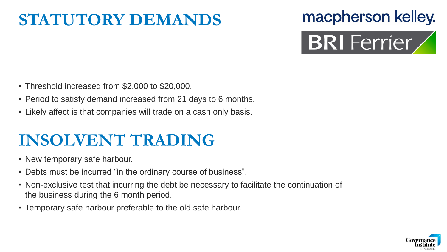### **STATUTORY DEMANDS**

## macpherson kelley. **BRI** Ferrier

- Threshold increased from \$2,000 to \$20,000.
- Period to satisfy demand increased from 21 days to 6 months.
- Likely affect is that companies will trade on a cash only basis.

### **INSOLVENT TRADING**

- New temporary safe harbour.
- Debts must be incurred "in the ordinary course of business".
- Non-exclusive test that incurring the debt be necessary to facilitate the continuation of the business during the 6 month period.
- Temporary safe harbour preferable to the old safe harbour.

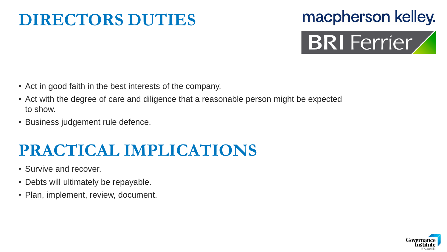### **DIRECTORS DUTIES**

## macpherson kelley. BRI Ferrier

- Act in good faith in the best interests of the company.
- Act with the degree of care and diligence that a reasonable person might be expected to show.
- Business judgement rule defence.

### **PRACTICAL IMPLICATIONS**

- Survive and recover.
- Debts will ultimately be repayable.
- Plan, implement, review, document.

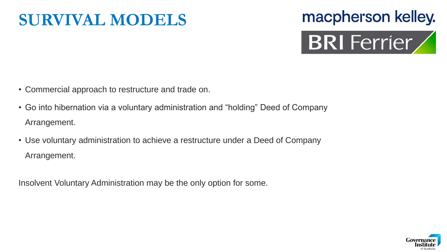### **SURVIVAL MODELS**

## macpherson kelley. BRI Ferrier

- Commercial approach to restructure and trade on.
- Go into hibernation via a voluntary administration and "holding" Deed of Company Arrangement.
- Use voluntary administration to achieve a restructure under a Deed of Company Arrangement.

Insolvent Voluntary Administration may be the only option for some.

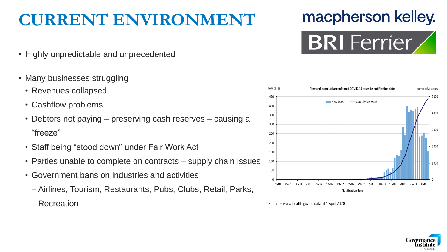### **CURRENT ENVIRONMENT**

### macpherson kelley.



- Highly unpredictable and unprecedented
- Many businesses struggling
	- Revenues collapsed
	- Cashflow problems
	- Debtors not paying preserving cash reserves causing a "freeze"
	- Staff being "stood down" under Fair Work Act
	- Parties unable to complete on contracts supply chain issues
	- Government bans on industries and activities
		- ‒ Airlines, Tourism, Restaurants, Pubs, Clubs, Retail, Parks, **Recreation**



<sup>\*</sup> Source - www.health.gov.au data at 1 April 2020

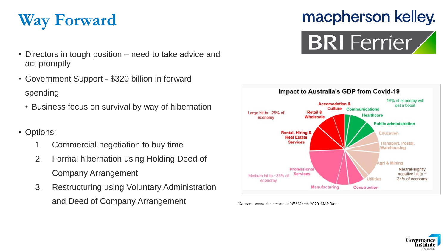

- Directors in tough position need to take advice and act promptly
- Government Support \$320 billion in forward spending
	- Business focus on survival by way of hibernation

#### • Options:

- 1. Commercial negotiation to buy time
- 2. Formal hibernation using Holding Deed of Company Arrangement
- 3. Restructuring using Voluntary Administration and Deed of Company Arrangement

## macpherson kelley.





\*Source - www.abc.net.au at 28<sup>th</sup> March 2020-AMP Data

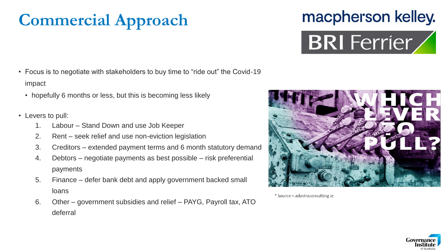### **Commercial Approach**

- Focus is to negotiate with stakeholders to buy time to "ride out" the Covid-19 impact
	- hopefully 6 months or less, but this is becoming less likely
- Levers to pull:
	- 1. Labour Stand Down and use Job Keeper
	- 2. Rent seek relief and use non-eviction legislation
	- 3. Creditors extended payment terms and 6 month statutory demand
	- 4. Debtors negotiate payments as best possible risk preferential payments
	- 5. Finance defer bank debt and apply government backed small loans
	- 6. Other government subsidies and relief PAYG, Payroll tax, ATO deferral





macpherson kelley.

**BRI** Ferrier

\* Source - adastraconsulting.ie

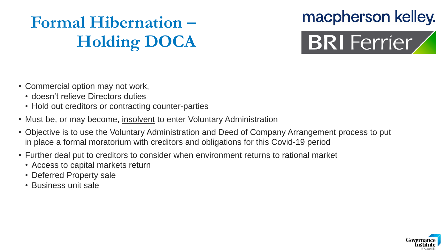### **Formal Hibernation – Holding DOCA**

## macpherson kelley. BRI Ferrier

- Commercial option may not work,
	- doesn't relieve Directors duties
	- Hold out creditors or contracting counter-parties
- Must be, or may become, insolvent to enter Voluntary Administration
- Objective is to use the Voluntary Administration and Deed of Company Arrangement process to put in place a formal moratorium with creditors and obligations for this Covid-19 period
- Further deal put to creditors to consider when environment returns to rational market
	- Access to capital markets return
	- Deferred Property sale
	- Business unit sale

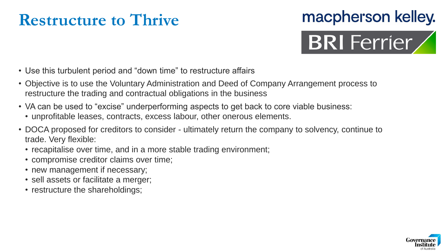### **Restructure to Thrive**

## macpherson kelley. **BRI** Ferrier

- Use this turbulent period and "down time" to restructure affairs
- Objective is to use the Voluntary Administration and Deed of Company Arrangement process to restructure the trading and contractual obligations in the business
- VA can be used to "excise" underperforming aspects to get back to core viable business:
	- unprofitable leases, contracts, excess labour, other onerous elements.
- DOCA proposed for creditors to consider ultimately return the company to solvency, continue to trade. Very flexible:
	- recapitalise over time, and in a more stable trading environment;
	- compromise creditor claims over time;
	- new management if necessary;
	- sell assets or facilitate a merger;
	- restructure the shareholdings;

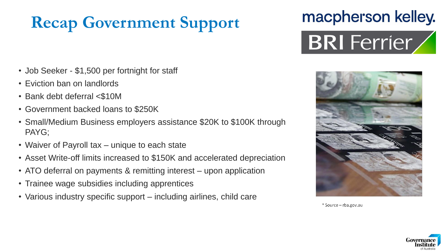### **Recap Government Support**

## macpherson kelley. BRI Ferrier

- Job Seeker \$1,500 per fortnight for staff
- Eviction ban on landlords
- Bank debt deferral <\$10M
- Government backed loans to \$250K
- Small/Medium Business employers assistance \$20K to \$100K through PAYG;
- Waiver of Payroll tax unique to each state
- Asset Write-off limits increased to \$150K and accelerated depreciation
- ATO deferral on payments & remitting interest upon application
- Trainee wage subsidies including apprentices
- Various industry specific support including airlines, child care



<sup>\*</sup> Source - rba.gov.au

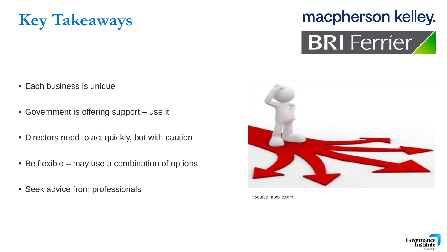

# macpherson kelley.



- Each business is unique
- Government is offering support use it
- Directors need to act quickly, but with caution
- Be flexible may use a combination of options
- Seek advice from professionals



\* Source -google.com

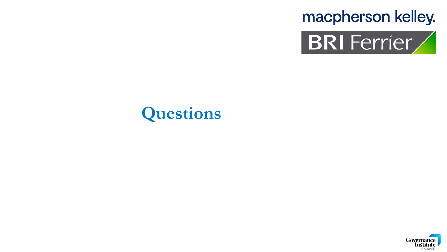



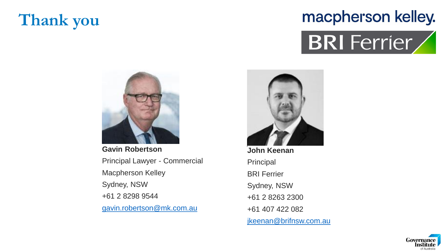### **Thank you**

### macpherson kelley.





**Gavin Robertson** Principal Lawyer - Commercial Macpherson Kelley Sydney, NSW +61 2 8298 9544 [gavin.robertson@mk.com.au](mailto:gavin.robertson@mk.com.au)



**John Keenan** Principal BRI Ferrier Sydney, NSW +61 2 8263 2300 +61 407 422 082 [jkeenan@brifnsw.com.au](mailto:jkeenan@brifnsw.com.au)

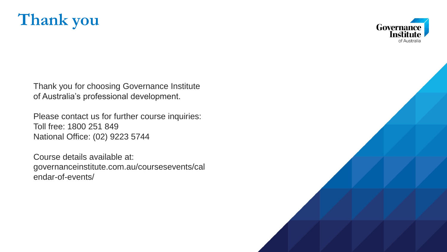



Thank you for choosing Governance Institute of Australia's professional development.

Please contact us for further course inquiries: Toll free: 1800 251 849 National Office: (02) 9223 5744

Course details available at: governanceinstitute.com.au/coursesevents/cal endar-of-events/